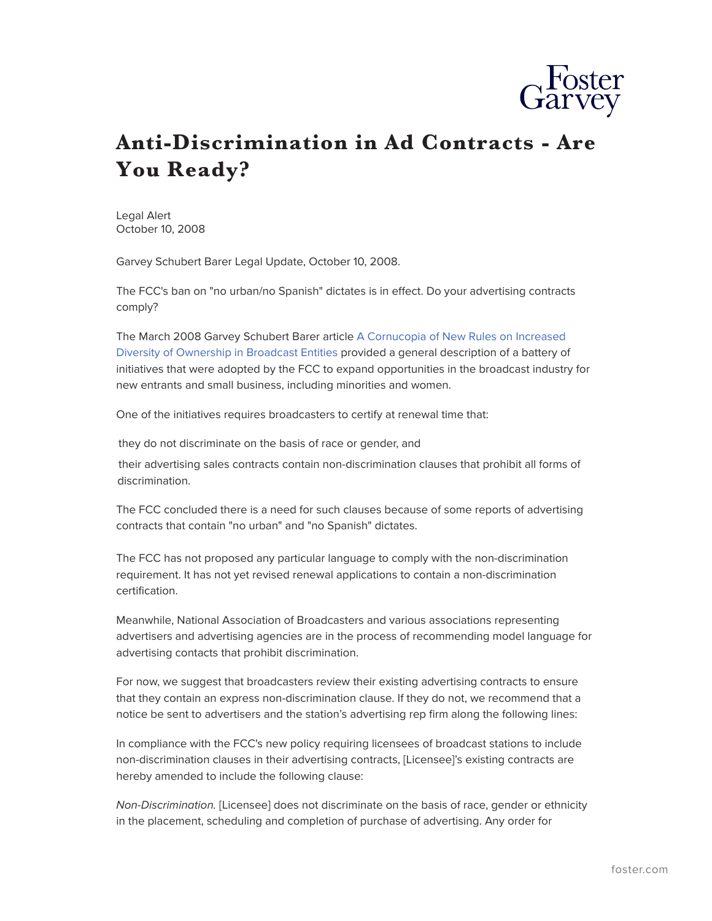

## **Anti-Discrimination in Ad Contracts - Are You Ready?**

Legal Alert October 10, 2008

Garvey Schubert Barer Legal Update, October 10, 2008.

The FCC's ban on "no urban/no Spanish" dictates is in effect. Do your advertising contracts comply?

The March 2008 Garvey Schubert Barer article [A Cornucopia of New Rules on Increased](http://www.gsblaw.com/practice/notableevents.asp?StoryID=1214383122008&groupID=21) [Diversity of Ownership in Broadcast Entities](http://www.gsblaw.com/practice/notableevents.asp?StoryID=1214383122008&groupID=21) provided a general description of a battery of initiatives that were adopted by the FCC to expand opportunities in the broadcast industry for new entrants and small business, including minorities and women.

One of the initiatives requires broadcasters to certify at renewal time that:

they do not discriminate on the basis of race or gender, and

their advertising sales contracts contain non-discrimination clauses that prohibit all forms of discrimination.

The FCC concluded there is a need for such clauses because of some reports of advertising contracts that contain "no urban" and "no Spanish" dictates.

The FCC has not proposed any particular language to comply with the non-discrimination requirement. It has not yet revised renewal applications to contain a non-discrimination certification.

Meanwhile, National Association of Broadcasters and various associations representing advertisers and advertising agencies are in the process of recommending model language for advertising contacts that prohibit discrimination.

For now, we suggest that broadcasters review their existing advertising contracts to ensure that they contain an express non-discrimination clause. If they do not, we recommend that a notice be sent to advertisers and the station's advertising rep firm along the following lines:

In compliance with the FCC's new policy requiring licensees of broadcast stations to include non-discrimination clauses in their advertising contracts, [Licensee]'s existing contracts are hereby amended to include the following clause:

*Non-Discrimination.* [Licensee] does not discriminate on the basis of race, gender or ethnicity in the placement, scheduling and completion of purchase of advertising. Any order for